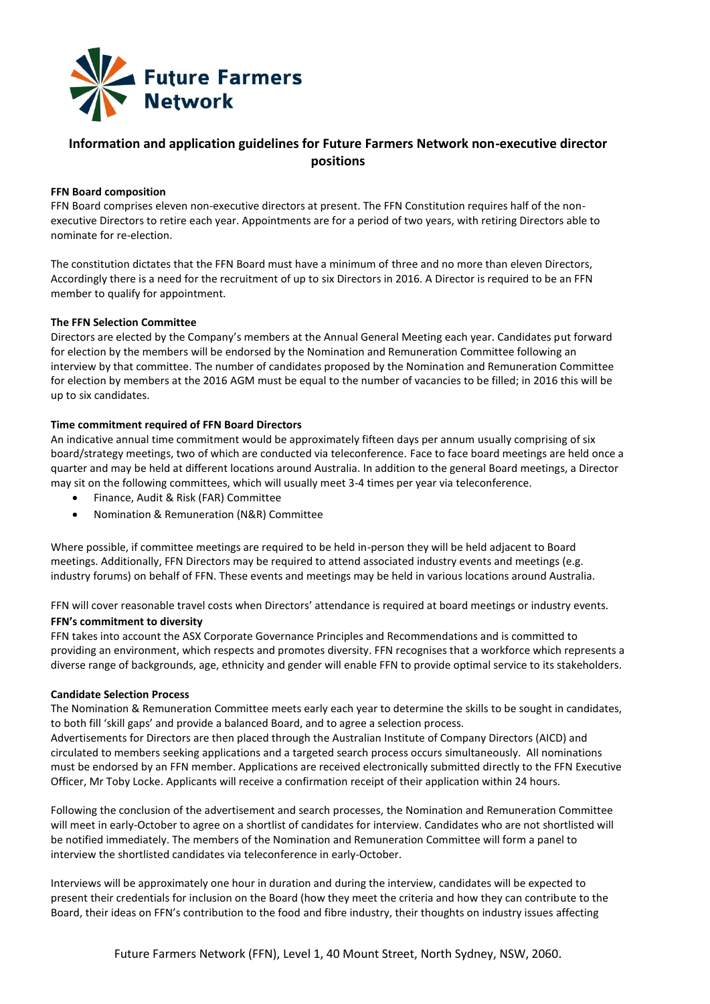

# **Information and application guidelines for Future Farmers Network non-executive director positions**

## **FFN Board composition**

FFN Board comprises eleven non-executive directors at present. The FFN Constitution requires half of the nonexecutive Directors to retire each year. Appointments are for a period of two years, with retiring Directors able to nominate for re-election.

The constitution dictates that the FFN Board must have a minimum of three and no more than eleven Directors, Accordingly there is a need for the recruitment of up to six Directors in 2016. A Director is required to be an FFN member to qualify for appointment.

## **The FFN Selection Committee**

Directors are elected by the Company's members at the Annual General Meeting each year. Candidates put forward for election by the members will be endorsed by the Nomination and Remuneration Committee following an interview by that committee. The number of candidates proposed by the Nomination and Remuneration Committee for election by members at the 2016 AGM must be equal to the number of vacancies to be filled; in 2016 this will be up to six candidates.

## **Time commitment required of FFN Board Directors**

An indicative annual time commitment would be approximately fifteen days per annum usually comprising of six board/strategy meetings, two of which are conducted via teleconference. Face to face board meetings are held once a quarter and may be held at different locations around Australia. In addition to the general Board meetings, a Director may sit on the following committees, which will usually meet 3-4 times per year via teleconference.

- Finance, Audit & Risk (FAR) Committee
- Nomination & Remuneration (N&R) Committee

Where possible, if committee meetings are required to be held in-person they will be held adjacent to Board meetings. Additionally, FFN Directors may be required to attend associated industry events and meetings (e.g. industry forums) on behalf of FFN. These events and meetings may be held in various locations around Australia.

FFN will cover reasonable travel costs when Directors' attendance is required at board meetings or industry events. **FFN's commitment to diversity** 

FFN takes into account the ASX Corporate Governance Principles and Recommendations and is committed to providing an environment, which respects and promotes diversity. FFN recognises that a workforce which represents a diverse range of backgrounds, age, ethnicity and gender will enable FFN to provide optimal service to its stakeholders.

## **Candidate Selection Process**

The Nomination & Remuneration Committee meets early each year to determine the skills to be sought in candidates, to both fill 'skill gaps' and provide a balanced Board, and to agree a selection process.

Advertisements for Directors are then placed through the Australian Institute of Company Directors (AICD) and circulated to members seeking applications and a targeted search process occurs simultaneously. All nominations must be endorsed by an FFN member. Applications are received electronically submitted directly to the FFN Executive Officer, Mr Toby Locke. Applicants will receive a confirmation receipt of their application within 24 hours.

Following the conclusion of the advertisement and search processes, the Nomination and Remuneration Committee will meet in early-October to agree on a shortlist of candidates for interview. Candidates who are not shortlisted will be notified immediately. The members of the Nomination and Remuneration Committee will form a panel to interview the shortlisted candidates via teleconference in early-October.

Interviews will be approximately one hour in duration and during the interview, candidates will be expected to present their credentials for inclusion on the Board (how they meet the criteria and how they can contribute to the Board, their ideas on FFN's contribution to the food and fibre industry, their thoughts on industry issues affecting